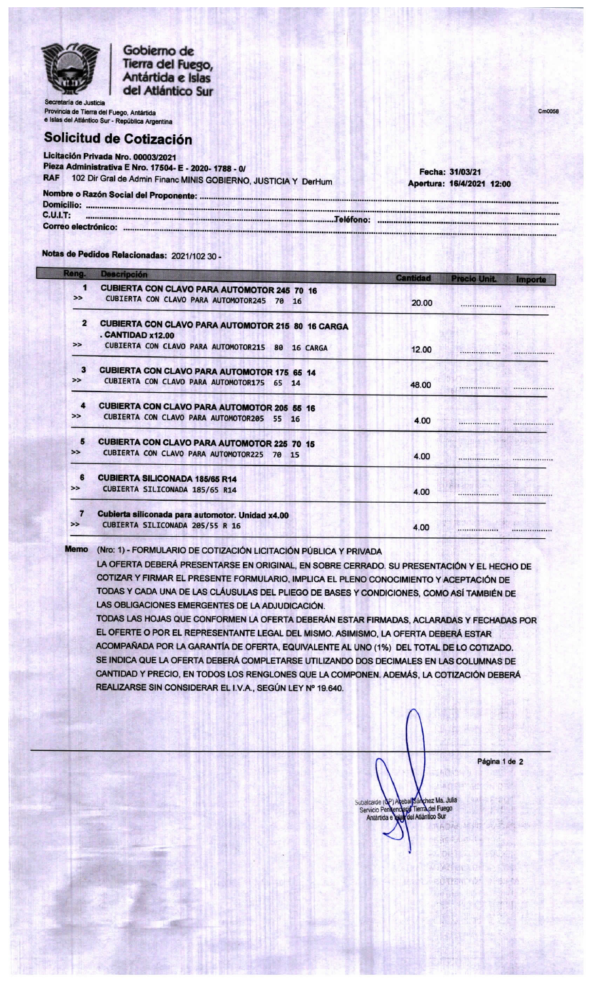

Gobierno de Tierra del Fuego, Antártida e Islas del Atlántico Sur

a de Justicia Provincia de Tierra del Fuego, Antártida e Islas del Atlántico Sur - República Argentina

## Solicitud de Cotización

Licitación Privada Nro. 00003/2021 Pieza Administrativa E Nro. 17504- E - 2020- 1788 - 0/ **RAF** 102 Dir Gral de Admin Financ MINIS GOBIERNO, JUSTICIA Y DerHum Nombre o Razón Social del Proponente: .................. D

Fecha: 31/03/21 Apertura: 16/4/2021 12:00 Cmnnss

| <b>Domicilio:</b>   |  |
|---------------------|--|
|                     |  |
| C.U.I.T.            |  |
|                     |  |
|                     |  |
| Correo electrónico: |  |
|                     |  |
|                     |  |
|                     |  |

Notas de Pedidos Relacionadas: 2021/102 30 -

| Reng.                   | <b>Descripción</b>                                                            | <b>Cantidad</b> | <b>Precio Unit.</b> | <i><b>Importe</b></i>                       |
|-------------------------|-------------------------------------------------------------------------------|-----------------|---------------------|---------------------------------------------|
| 1                       | <b>CUBIERTA CON CLAVO PARA AUTOMOTOR 245 70 16</b>                            |                 |                     |                                             |
| $\rightarrow$           | CUBIERTA CON CLAVO PARA AUTOMOTOR245<br>70 16                                 | 20.00           |                     |                                             |
| $\overline{\mathbf{z}}$ | <b>CUBIERTA CON CLAVO PARA AUTOMOTOR 215 80 16 CARGA</b><br>. CANTIDAD x12.00 |                 |                     |                                             |
| $\rightarrow$           | CUBIERTA CON CLAVO PARA AUTOMOTOR215 80<br>16 CARGA                           | 12.00           |                     |                                             |
| 3                       | <b>CUBIERTA CON CLAVO PARA AUTOMOTOR 175 65 14</b>                            |                 |                     |                                             |
| $\rightarrow$           | CUBIERTA CON CLAVO PARA AUTOMOTOR175 65 14                                    | 48.00           |                     | *****************                           |
| $\mathbf{A}$            | <b>CUBIERTA CON CLAVO PARA AUTOMOTOR 205 55 16</b>                            |                 |                     |                                             |
| $\rightarrow$           | CUBIERTA CON CLAVO PARA AUTOMOTOR205 55 16                                    | 4.00            |                     | <b>****************</b>                     |
| 5                       | <b>CUBIERTA CON CLAVO PARA AUTOMOTOR 225 70 15</b>                            |                 | <b>Linked</b>       | <b>Controlled At Land Controlled At 200</b> |
| $\rightarrow$           | CUBIERTA CON CLAVO PARA AUTOMOTOR225<br>70 15                                 | 4.00            | ******************  |                                             |
| 6                       | <b>CUBIERTA SILICONADA 185/65 R14</b>                                         |                 |                     |                                             |
| $\rightarrow$           | CUBIERTA SILICONADA 185/65 R14                                                | 4.00            |                     |                                             |
| 7                       | Cubierta siliconada para automotor. Unidad x4.00                              |                 |                     |                                             |
| $\rightarrow$           | CUBIERTA SILICONADA 205/55 R 16                                               | 4.00            |                     |                                             |

1501111

**Memo** (Nro: 1) - FORMULARIO DE COTIZACIÓN LICITACIÓN PÚBLICA Y PRIVADA

LA OFERTA DEBERÁ PRESENTARSE EN ORIGINAL, EN SOBRE CERRADO. SU PRESENTACIÓN Y EL HECHO DE COTIZAR Y FIRMAR EL PRESENTE FORMULARIO, IMPLICA EL PLENO CONOCIMIENTO Y ACEPTACIÓN DE TODAS Y CADA UNA DE LAS CLÁUSULAS DEL PLIEGO DE BASES Y CONDICIONES, COMO ASÍ TAMBIÉN DE LAS OBLIGACIONES EMERGENTES DE LA ADJUDICACIÓN.

TODAS LAS HOJAS QUE CONFORMEN LA OFERTA DEBERÁN ESTAR FIRMADAS, ACLARADAS Y FECHADAS POR EL OFERTE O POR EL REPRESENTANTE LEGAL DEL MISMO. ASIMISMO, LA OFERTA DEBERÁ ESTAR ACOMPAÑADA POR LA GARANTÍA DE OFERTA, EQUIVALENTE AL UNO (1%) DEL TOTAL DE LO COTIZADO. SE INDICA QUE LA OFERTA DEBERÁ COMPLETARSE UTILIZANDO DOS DECIMALES EN LAS COLUMNAS DE CANTIDAD Y PRECIO, EN TODOS LOS RENGLONES QUE LA COMPONEN. ADEMÁS, LA COTIZACIÓN DEBERÁ REALIZARSE SIN CONSIDERAR EL I.V.A., SEGÚN LEY Nº 19.640.

hez Ma. Julia Tierra del Fuego Servicio Pe Antártida **Rimad** 

W. Wilson C. 前时都心心

Página 1 de 2

首信